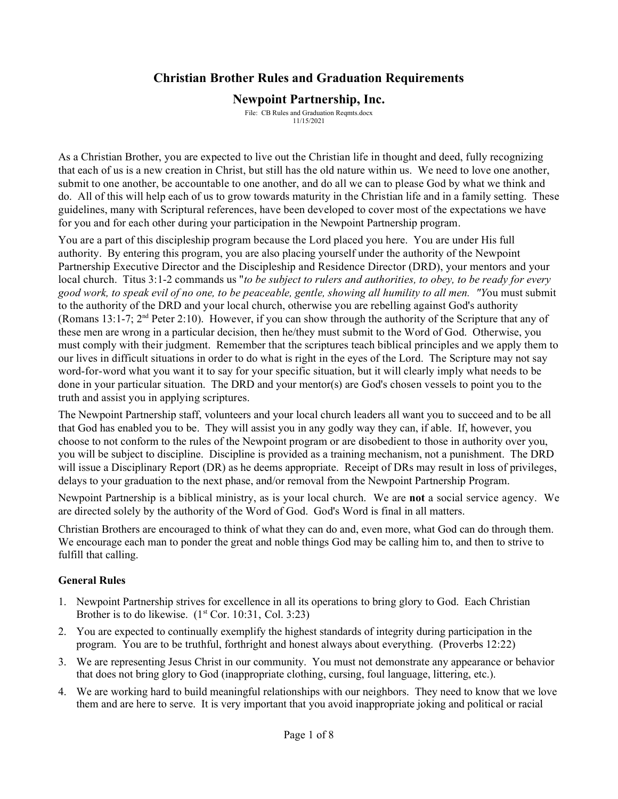# **Christian Brother Rules and Graduation Requirements**

## **Newpoint Partnership, Inc.**

File: CB Rules and Graduation Reqmts.docx 11/15/2021

As a Christian Brother, you are expected to live out the Christian life in thought and deed, fully recognizing that each of us is a new creation in Christ, but still has the old nature within us. We need to love one another, submit to one another, be accountable to one another, and do all we can to please God by what we think and do. All of this will help each of us to grow towards maturity in the Christian life and in a family setting. These guidelines, many with Scriptural references, have been developed to cover most of the expectations we have for you and for each other during your participation in the Newpoint Partnership program.

You are a part of this discipleship program because the Lord placed you here. You are under His full authority. By entering this program, you are also placing yourself under the authority of the Newpoint Partnership Executive Director and the Discipleship and Residence Director (DRD), your mentors and your local church. Titus 3:1-2 commands us "*to be subject to rulers and authorities, to obey, to be ready for every good work, to speak evil of no one, to be peaceable, gentle, showing all humility to all men. "Y*ou must submit to the authority of the DRD and your local church, otherwise you are rebelling against God's authority (Romans 13:1-7;  $2<sup>nd</sup>$  Peter 2:10). However, if you can show through the authority of the Scripture that any of these men are wrong in a particular decision, then he/they must submit to the Word of God. Otherwise, you must comply with their judgment. Remember that the scriptures teach biblical principles and we apply them to our lives in difficult situations in order to do what is right in the eyes of the Lord. The Scripture may not say word-for-word what you want it to say for your specific situation, but it will clearly imply what needs to be done in your particular situation. The DRD and your mentor(s) are God's chosen vessels to point you to the truth and assist you in applying scriptures.

The Newpoint Partnership staff, volunteers and your local church leaders all want you to succeed and to be all that God has enabled you to be. They will assist you in any godly way they can, if able. If, however, you choose to not conform to the rules of the Newpoint program or are disobedient to those in authority over you, you will be subject to discipline. Discipline is provided as a training mechanism, not a punishment. The DRD will issue a Disciplinary Report (DR) as he deems appropriate. Receipt of DRs may result in loss of privileges, delays to your graduation to the next phase, and/or removal from the Newpoint Partnership Program.

Newpoint Partnership is a biblical ministry, as is your local church. We are **not** a social service agency. We are directed solely by the authority of the Word of God. God's Word is final in all matters.

Christian Brothers are encouraged to think of what they can do and, even more, what God can do through them. We encourage each man to ponder the great and noble things God may be calling him to, and then to strive to fulfill that calling.

## **General Rules**

- 1. Newpoint Partnership strives for excellence in all its operations to bring glory to God. Each Christian Brother is to do likewise.  $(1<sup>st</sup> Cor. 10:31, Col. 3:23)$
- 2. You are expected to continually exemplify the highest standards of integrity during participation in the program. You are to be truthful, forthright and honest always about everything. (Proverbs 12:22)
- 3. We are representing Jesus Christ in our community. You must not demonstrate any appearance or behavior that does not bring glory to God (inappropriate clothing, cursing, foul language, littering, etc.).
- 4. We are working hard to build meaningful relationships with our neighbors. They need to know that we love them and are here to serve. It is very important that you avoid inappropriate joking and political or racial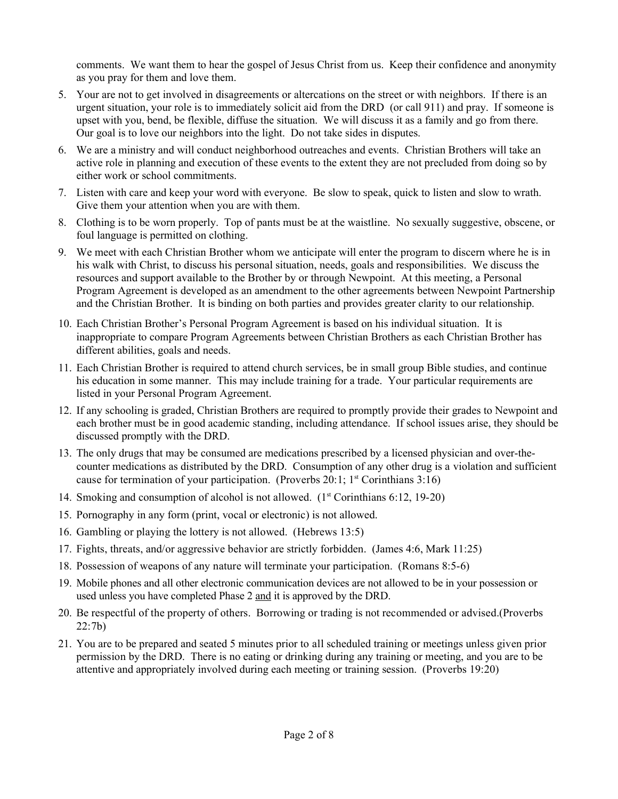comments. We want them to hear the gospel of Jesus Christ from us. Keep their confidence and anonymity as you pray for them and love them.

- 5. Your are not to get involved in disagreements or altercations on the street or with neighbors. If there is an urgent situation, your role is to immediately solicit aid from the DRD (or call 911) and pray. If someone is upset with you, bend, be flexible, diffuse the situation. We will discuss it as a family and go from there. Our goal is to love our neighbors into the light. Do not take sides in disputes.
- 6. We are a ministry and will conduct neighborhood outreaches and events. Christian Brothers will take an active role in planning and execution of these events to the extent they are not precluded from doing so by either work or school commitments.
- 7. Listen with care and keep your word with everyone. Be slow to speak, quick to listen and slow to wrath. Give them your attention when you are with them.
- 8. Clothing is to be worn properly. Top of pants must be at the waistline. No sexually suggestive, obscene, or foul language is permitted on clothing.
- 9. We meet with each Christian Brother whom we anticipate will enter the program to discern where he is in his walk with Christ, to discuss his personal situation, needs, goals and responsibilities. We discuss the resources and support available to the Brother by or through Newpoint. At this meeting, a Personal Program Agreement is developed as an amendment to the other agreements between Newpoint Partnership and the Christian Brother. It is binding on both parties and provides greater clarity to our relationship.
- 10. Each Christian Brother's Personal Program Agreement is based on his individual situation. It is inappropriate to compare Program Agreements between Christian Brothers as each Christian Brother has different abilities, goals and needs.
- 11. Each Christian Brother is required to attend church services, be in small group Bible studies, and continue his education in some manner. This may include training for a trade. Your particular requirements are listed in your Personal Program Agreement.
- 12. If any schooling is graded, Christian Brothers are required to promptly provide their grades to Newpoint and each brother must be in good academic standing, including attendance. If school issues arise, they should be discussed promptly with the DRD.
- 13. The only drugs that may be consumed are medications prescribed by a licensed physician and over-thecounter medications as distributed by the DRD. Consumption of any other drug is a violation and sufficient cause for termination of your participation. (Proverbs 20:1;  $1<sup>st</sup>$  Corinthians 3:16)
- 14. Smoking and consumption of alcohol is not allowed.  $(1^{\text{st}}$  Corinthians 6:12, 19-20)
- 15. Pornography in any form (print, vocal or electronic) is not allowed.
- 16. Gambling or playing the lottery is not allowed. (Hebrews 13:5)
- 17. Fights, threats, and/or aggressive behavior are strictly forbidden. (James 4:6, Mark 11:25)
- 18. Possession of weapons of any nature will terminate your participation. (Romans 8:5-6)
- 19. Mobile phones and all other electronic communication devices are not allowed to be in your possession or used unless you have completed Phase 2 and it is approved by the DRD.
- 20. Be respectful of the property of others. Borrowing or trading is not recommended or advised.(Proverbs 22:7b)
- 21. You are to be prepared and seated 5 minutes prior to all scheduled training or meetings unless given prior permission by the DRD. There is no eating or drinking during any training or meeting, and you are to be attentive and appropriately involved during each meeting or training session. (Proverbs 19:20)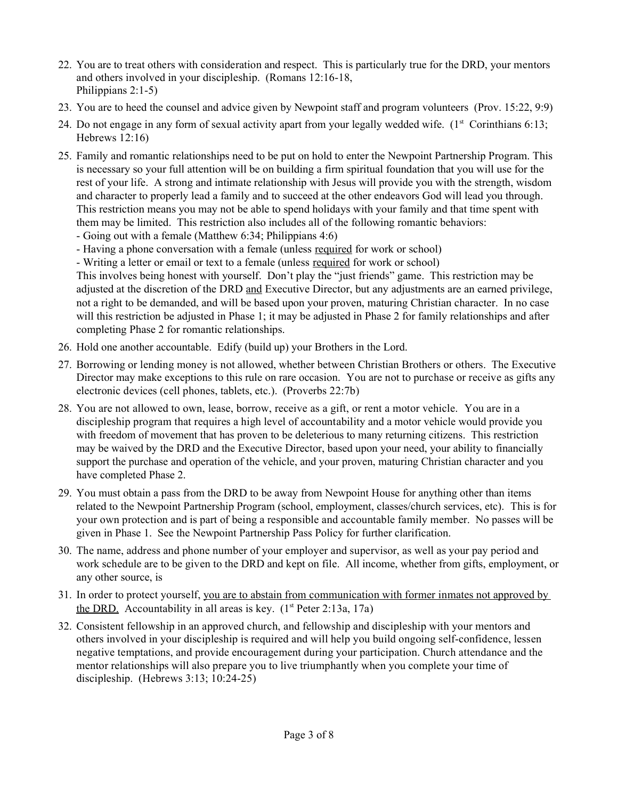- 22. You are to treat others with consideration and respect. This is particularly true for the DRD, your mentors and others involved in your discipleship. (Romans 12:16-18, Philippians 2:1-5)
- 23. You are to heed the counsel and advice given by Newpoint staff and program volunteers (Prov. 15:22, 9:9)
- 24. Do not engage in any form of sexual activity apart from your legally wedded wife.  $(1<sup>st</sup>$  Corinthians 6:13; Hebrews 12:16)
- 25. Family and romantic relationships need to be put on hold to enter the Newpoint Partnership Program. This is necessary so your full attention will be on building a firm spiritual foundation that you will use for the rest of your life. A strong and intimate relationship with Jesus will provide you with the strength, wisdom and character to properly lead a family and to succeed at the other endeavors God will lead you through. This restriction means you may not be able to spend holidays with your family and that time spent with them may be limited. This restriction also includes all of the following romantic behaviors:
	- Going out with a female (Matthew 6:34; Philippians 4:6)
	- Having a phone conversation with a female (unless required for work or school)
	- Writing a letter or email or text to a female (unless required for work or school)

This involves being honest with yourself. Don't play the "just friends" game. This restriction may be adjusted at the discretion of the DRD and Executive Director, but any adjustments are an earned privilege, not a right to be demanded, and will be based upon your proven, maturing Christian character. In no case will this restriction be adjusted in Phase 1; it may be adjusted in Phase 2 for family relationships and after completing Phase 2 for romantic relationships.

- 26. Hold one another accountable. Edify (build up) your Brothers in the Lord.
- 27. Borrowing or lending money is not allowed, whether between Christian Brothers or others. The Executive Director may make exceptions to this rule on rare occasion. You are not to purchase or receive as gifts any electronic devices (cell phones, tablets, etc.). (Proverbs 22:7b)
- 28. You are not allowed to own, lease, borrow, receive as a gift, or rent a motor vehicle. You are in a discipleship program that requires a high level of accountability and a motor vehicle would provide you with freedom of movement that has proven to be deleterious to many returning citizens. This restriction may be waived by the DRD and the Executive Director, based upon your need, your ability to financially support the purchase and operation of the vehicle, and your proven, maturing Christian character and you have completed Phase 2.
- 29. You must obtain a pass from the DRD to be away from Newpoint House for anything other than items related to the Newpoint Partnership Program (school, employment, classes/church services, etc). This is for your own protection and is part of being a responsible and accountable family member. No passes will be given in Phase 1. See the Newpoint Partnership Pass Policy for further clarification.
- 30. The name, address and phone number of your employer and supervisor, as well as your pay period and work schedule are to be given to the DRD and kept on file. All income, whether from gifts, employment, or any other source, is
- 31. In order to protect yourself, you are to abstain from communication with former inmates not approved by the DRD. Accountability in all areas is key.  $(1<sup>st</sup> Peter 2:13a, 17a)$
- 32. Consistent fellowship in an approved church, and fellowship and discipleship with your mentors and others involved in your discipleship is required and will help you build ongoing self-confidence, lessen negative temptations, and provide encouragement during your participation. Church attendance and the mentor relationships will also prepare you to live triumphantly when you complete your time of discipleship. (Hebrews 3:13; 10:24-25)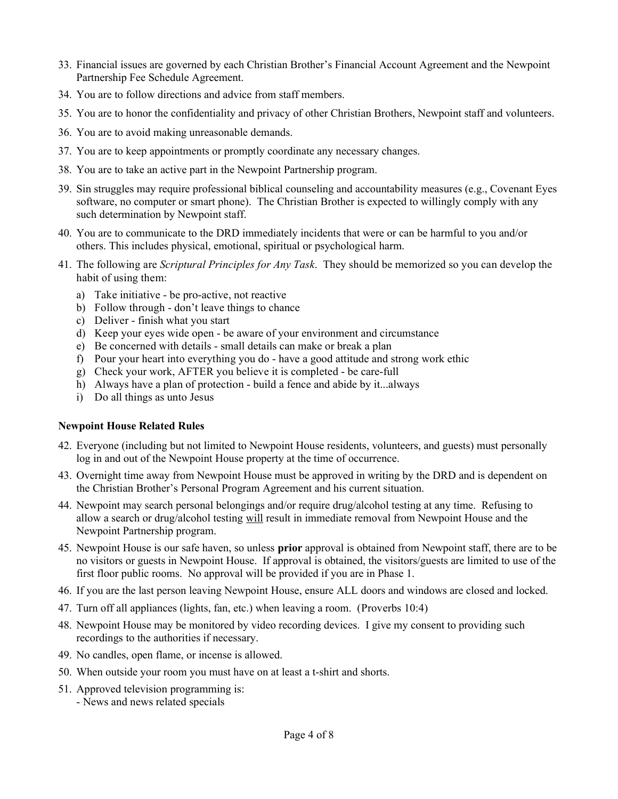- 33. Financial issues are governed by each Christian Brother's Financial Account Agreement and the Newpoint Partnership Fee Schedule Agreement.
- 34. You are to follow directions and advice from staff members.
- 35. You are to honor the confidentiality and privacy of other Christian Brothers, Newpoint staff and volunteers.
- 36. You are to avoid making unreasonable demands.
- 37. You are to keep appointments or promptly coordinate any necessary changes.
- 38. You are to take an active part in the Newpoint Partnership program.
- 39. Sin struggles may require professional biblical counseling and accountability measures (e.g., Covenant Eyes software, no computer or smart phone). The Christian Brother is expected to willingly comply with any such determination by Newpoint staff.
- 40. You are to communicate to the DRD immediately incidents that were or can be harmful to you and/or others. This includes physical, emotional, spiritual or psychological harm.
- 41. The following are *Scriptural Principles for Any Task*. They should be memorized so you can develop the habit of using them:
	- a) Take initiative be pro-active, not reactive
	- b) Follow through don't leave things to chance
	- c) Deliver finish what you start
	- d) Keep your eyes wide open be aware of your environment and circumstance
	- e) Be concerned with details small details can make or break a plan
	- f) Pour your heart into everything you do have a good attitude and strong work ethic
	- g) Check your work, AFTER you believe it is completed be care-full
	- h) Always have a plan of protection build a fence and abide by it...always
	- i) Do all things as unto Jesus

#### **Newpoint House Related Rules**

- 42. Everyone (including but not limited to Newpoint House residents, volunteers, and guests) must personally log in and out of the Newpoint House property at the time of occurrence.
- 43. Overnight time away from Newpoint House must be approved in writing by the DRD and is dependent on the Christian Brother's Personal Program Agreement and his current situation.
- 44. Newpoint may search personal belongings and/or require drug/alcohol testing at any time. Refusing to allow a search or drug/alcohol testing will result in immediate removal from Newpoint House and the Newpoint Partnership program.
- 45. Newpoint House is our safe haven, so unless **prior** approval is obtained from Newpoint staff, there are to be no visitors or guests in Newpoint House. If approval is obtained, the visitors/guests are limited to use of the first floor public rooms. No approval will be provided if you are in Phase 1.
- 46. If you are the last person leaving Newpoint House, ensure ALL doors and windows are closed and locked.
- 47. Turn off all appliances (lights, fan, etc.) when leaving a room. (Proverbs 10:4)
- 48. Newpoint House may be monitored by video recording devices. I give my consent to providing such recordings to the authorities if necessary.
- 49. No candles, open flame, or incense is allowed.
- 50. When outside your room you must have on at least a t-shirt and shorts.
- 51. Approved television programming is:
	- News and news related specials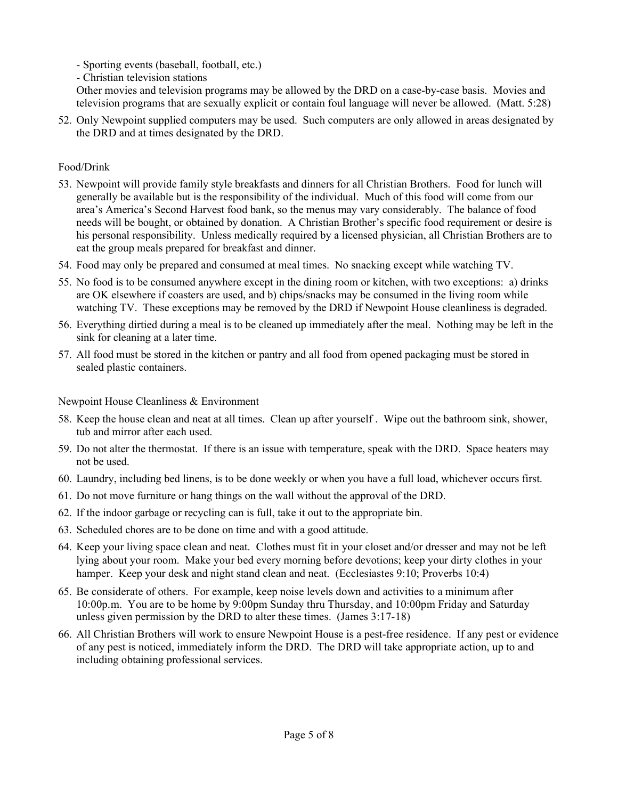- Sporting events (baseball, football, etc.)
- Christian television stations

Other movies and television programs may be allowed by the DRD on a case-by-case basis. Movies and television programs that are sexually explicit or contain foul language will never be allowed. (Matt. 5:28)

52. Only Newpoint supplied computers may be used. Such computers are only allowed in areas designated by the DRD and at times designated by the DRD.

### Food/Drink

- 53. Newpoint will provide family style breakfasts and dinners for all Christian Brothers. Food for lunch will generally be available but is the responsibility of the individual. Much of this food will come from our area's America's Second Harvest food bank, so the menus may vary considerably. The balance of food needs will be bought, or obtained by donation. A Christian Brother's specific food requirement or desire is his personal responsibility. Unless medically required by a licensed physician, all Christian Brothers are to eat the group meals prepared for breakfast and dinner.
- 54. Food may only be prepared and consumed at meal times. No snacking except while watching TV.
- 55. No food is to be consumed anywhere except in the dining room or kitchen, with two exceptions: a) drinks are OK elsewhere if coasters are used, and b) chips/snacks may be consumed in the living room while watching TV. These exceptions may be removed by the DRD if Newpoint House cleanliness is degraded.
- 56. Everything dirtied during a meal is to be cleaned up immediately after the meal. Nothing may be left in the sink for cleaning at a later time.
- 57. All food must be stored in the kitchen or pantry and all food from opened packaging must be stored in sealed plastic containers.

Newpoint House Cleanliness & Environment

- 58. Keep the house clean and neat at all times. Clean up after yourself . Wipe out the bathroom sink, shower, tub and mirror after each used.
- 59. Do not alter the thermostat. If there is an issue with temperature, speak with the DRD. Space heaters may not be used.
- 60. Laundry, including bed linens, is to be done weekly or when you have a full load, whichever occurs first.
- 61. Do not move furniture or hang things on the wall without the approval of the DRD.
- 62. If the indoor garbage or recycling can is full, take it out to the appropriate bin.
- 63. Scheduled chores are to be done on time and with a good attitude.
- 64. Keep your living space clean and neat. Clothes must fit in your closet and/or dresser and may not be left lying about your room. Make your bed every morning before devotions; keep your dirty clothes in your hamper. Keep your desk and night stand clean and neat. (Ecclesiastes 9:10; Proverbs 10:4)
- 65. Be considerate of others. For example, keep noise levels down and activities to a minimum after 10:00p.m. You are to be home by 9:00pm Sunday thru Thursday, and 10:00pm Friday and Saturday unless given permission by the DRD to alter these times. (James 3:17-18)
- 66. All Christian Brothers will work to ensure Newpoint House is a pest-free residence. If any pest or evidence of any pest is noticed, immediately inform the DRD. The DRD will take appropriate action, up to and including obtaining professional services.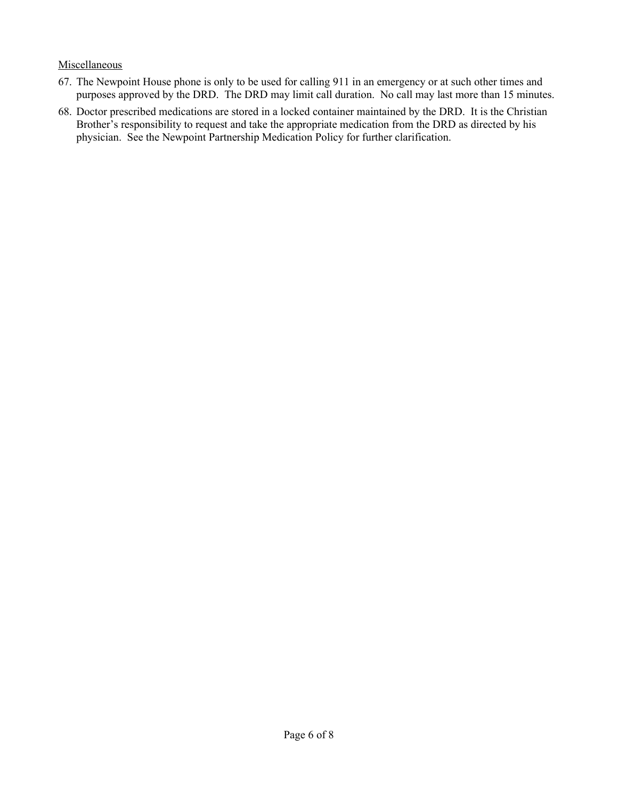#### **Miscellaneous**

- 67. The Newpoint House phone is only to be used for calling 911 in an emergency or at such other times and purposes approved by the DRD. The DRD may limit call duration. No call may last more than 15 minutes.
- 68. Doctor prescribed medications are stored in a locked container maintained by the DRD. It is the Christian Brother's responsibility to request and take the appropriate medication from the DRD as directed by his physician. See the Newpoint Partnership Medication Policy for further clarification.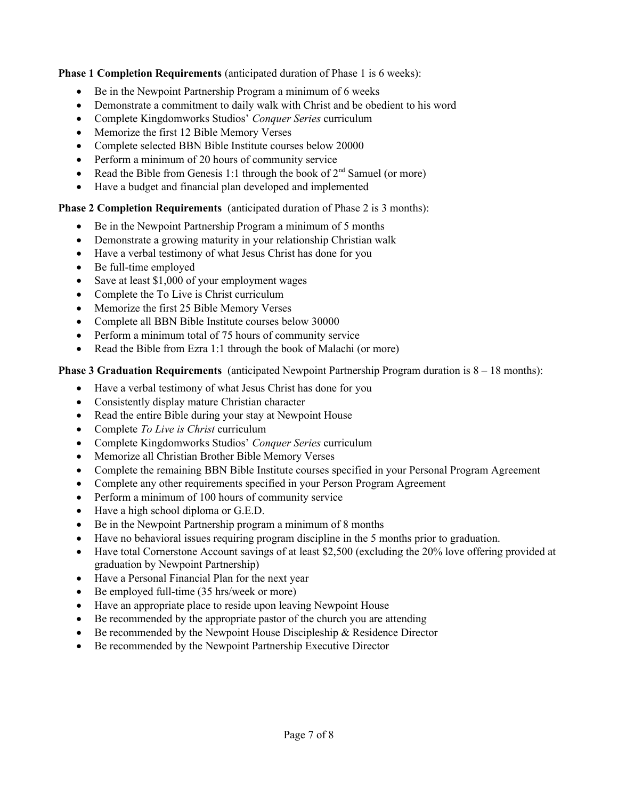**Phase 1 Completion Requirements** (anticipated duration of Phase 1 is 6 weeks):

- Be in the Newpoint Partnership Program a minimum of 6 weeks
- Demonstrate a commitment to daily walk with Christ and be obedient to his word
- Complete Kingdomworks Studios' *Conquer Series* curriculum
- Memorize the first 12 Bible Memory Verses
- Complete selected BBN Bible Institute courses below 20000
- Perform a minimum of 20 hours of community service
- Read the Bible from Genesis 1:1 through the book of  $2<sup>nd</sup>$  Samuel (or more)
- Have a budget and financial plan developed and implemented

# **Phase 2 Completion Requirements** (anticipated duration of Phase 2 is 3 months):

- Be in the Newpoint Partnership Program a minimum of 5 months
- Demonstrate a growing maturity in your relationship Christian walk
- Have a verbal testimony of what Jesus Christ has done for you
- Be full-time employed
- Save at least \$1,000 of your employment wages
- Complete the To Live is Christ curriculum
- Memorize the first 25 Bible Memory Verses
- Complete all BBN Bible Institute courses below 30000
- Perform a minimum total of 75 hours of community service
- Read the Bible from Ezra 1:1 through the book of Malachi (or more)

# **Phase 3 Graduation Requirements** (anticipated Newpoint Partnership Program duration is  $8 - 18$  months):

- Have a verbal testimony of what Jesus Christ has done for you
- Consistently display mature Christian character
- Read the entire Bible during your stay at Newpoint House
- Complete *To Live is Christ* curriculum
- Complete Kingdomworks Studios' *Conquer Series* curriculum
- Memorize all Christian Brother Bible Memory Verses
- Complete the remaining BBN Bible Institute courses specified in your Personal Program Agreement
- Complete any other requirements specified in your Person Program Agreement
- Perform a minimum of 100 hours of community service
- Have a high school diploma or G.E.D.
- Be in the Newpoint Partnership program a minimum of 8 months
- Have no behavioral issues requiring program discipline in the 5 months prior to graduation.
- Have total Cornerstone Account savings of at least \$2,500 (excluding the 20% love offering provided at graduation by Newpoint Partnership)
- Have a Personal Financial Plan for the next year
- Be employed full-time (35 hrs/week or more)
- Have an appropriate place to reside upon leaving Newpoint House
- Be recommended by the appropriate pastor of the church you are attending
- $\bullet$  Be recommended by the Newpoint House Discipleship & Residence Director
- Be recommended by the Newpoint Partnership Executive Director